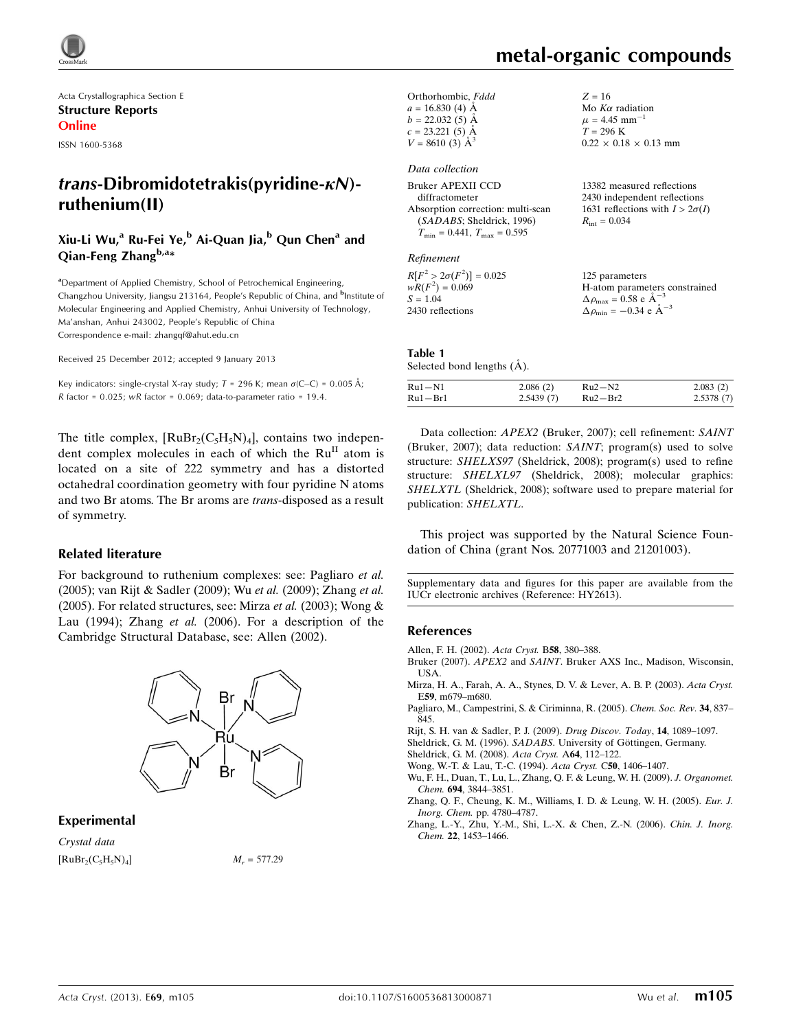

Acta Crystallographica Section E Structure Reports Online

ISSN 1600-5368

# $trans-Dibromidotetrakis(pvridine-KN)$ ruthenium(II)

## Xiu-Li Wu,<sup>a</sup> Ru-Fei Ye,<sup>b</sup> Ai-Quan Jia,<sup>b</sup> Qun Chen<sup>a</sup> and Qian-Feng Zhang $^{b,a*}$

<sup>a</sup>Department of Applied Chemistry, School of Petrochemical Engineering, Changzhou University, Jiangsu 213164, People's Republic of China, and <sup>b</sup>Institute of Molecular Engineering and Applied Chemistry, Anhui University of Technology, Ma'anshan, Anhui 243002, People's Republic of China Correspondence e-mail: [zhangqf@ahut.edu.cn](https://scripts.iucr.org/cgi-bin/cr.cgi?rm=pdfbb&cnor=hy2613&bbid=BB11)

Received 25 December 2012; accepted 9 January 2013

Key indicators: single-crystal X-ray study;  $T$  = 296 K; mean  $\sigma$ (C–C) = 0.005 Å; R factor =  $0.025$ ; wR factor =  $0.069$ ; data-to-parameter ratio = 19.4.

The title complex,  $[RuBr_2(C_5H_5N)_4]$ , contains two independent complex molecules in each of which the  $Ru<sup>H</sup>$  atom is located on a site of 222 symmetry and has a distorted octahedral coordination geometry with four pyridine N atoms and two Br atoms. The Br aroms are trans-disposed as a result of symmetry.

#### Related literature

For background to ruthenium complexes: see: Pagliaro et al. (2005); van Rijt & Sadler (2009); Wu et al. (2009); Zhang et al. (2005). For related structures, see: Mirza et al. (2003); Wong & Lau (1994); Zhang et al. (2006). For a description of the Cambridge Structural Database, see: Allen (2002).



#### Experimental

Crystal data  $[RuBr_2(C_5H_5N)_4]$   $M_r = 577.29$ 

# metal-organic compounds

1

 $0.22 \times 0.18 \times 0.13$  mm

 $Z = 16$ Mo  $K\alpha$  radiation  $\mu = 4.45$  mm<sup>-</sup>

 $T = 296 K$ 

| Orthorhombic, Fddd    |  |
|-----------------------|--|
| $a = 16.830(4)$ Å     |  |
| $b = 22.032(5)$ Å     |  |
| $c = 23.221(5)$ Å     |  |
| $V = 8610(3)$ $\AA^3$ |  |
|                       |  |
| Data collection       |  |

#### Bruker APEXII CCD diffractometer Absorption correction: multi-scan (SADABS; Sheldrick, 1996)  $T_{\text{min}} = 0.441$ ,  $T_{\text{max}} = 0.595$ 13382 measured reflections 2430 independent reflections 1631 reflections with  $I > 2\sigma(I)$  $R_{\text{int}} = 0.034$

#### Refinement

| $R[F^2 > 2\sigma(F^2)] = 0.025$ | 125 parameters                                     |
|---------------------------------|----------------------------------------------------|
| $wR(F^2) = 0.069$               | H-atom parameters constrained                      |
| $S = 1.04$                      | $\Delta \rho_{\text{max}} = 0.58 \text{ e A}^{-3}$ |
| 2430 reflections                | $\Delta \rho_{\text{min}} = -0.34$ e $\AA^{-3}$    |

#### Table 1 Selected bond lengths  $(A)$ .

| $Ru1 - N1$ | 2.086(2)  | $Ru2-N2$    | 2.083(2)  |
|------------|-----------|-------------|-----------|
| Ru1–Br1    | 2.5439(7) | $Ru2 - Br2$ | 2.5378(7) |

Data collection: APEX2 (Bruker, 2007); cell refinement: SAINT (Bruker, 2007); data reduction: SAINT; program(s) used to solve structure: SHELXS97 (Sheldrick, 2008); program(s) used to refine structure: SHELXL97 (Sheldrick, 2008); molecular graphics: SHELXTL (Sheldrick, 2008); software used to prepare material for publication: SHELXTL.

This project was supported by the Natural Science Foundation of China (grant Nos. 20771003 and 21201003).

Supplementary data and figures for this paper are available from the IUCr electronic archives (Reference: HY2613).

#### References

[Allen, F. H. \(2002\).](https://scripts.iucr.org/cgi-bin/cr.cgi?rm=pdfbb&cnor=hy2613&bbid=BB1) Acta Cryst. B58, 380–388.

- Bruker (2007). APEX2 and SAINT[. Bruker AXS Inc., Madison, Wisconsin,](https://scripts.iucr.org/cgi-bin/cr.cgi?rm=pdfbb&cnor=hy2613&bbid=BB2) [USA.](https://scripts.iucr.org/cgi-bin/cr.cgi?rm=pdfbb&cnor=hy2613&bbid=BB2)
- [Mirza, H. A., Farah, A. A., Stynes, D. V. & Lever, A. B. P. \(2003\).](https://scripts.iucr.org/cgi-bin/cr.cgi?rm=pdfbb&cnor=hy2613&bbid=BB3) Acta Cryst. E59[, m679–m680.](https://scripts.iucr.org/cgi-bin/cr.cgi?rm=pdfbb&cnor=hy2613&bbid=BB3)
- [Pagliaro, M., Campestrini, S. & Ciriminna, R. \(2005\).](https://scripts.iucr.org/cgi-bin/cr.cgi?rm=pdfbb&cnor=hy2613&bbid=BB4) Chem. Soc. Rev. 34, 837– [845.](https://scripts.iucr.org/cgi-bin/cr.cgi?rm=pdfbb&cnor=hy2613&bbid=BB4)

[Rijt, S. H. van & Sadler, P. J. \(2009\).](https://scripts.iucr.org/cgi-bin/cr.cgi?rm=pdfbb&cnor=hy2613&bbid=BB5) Drug Discov. Today, 14, 1089–1097.

Sheldrick, G. M. (1996). SADABS. University of Göttingen, Germany.

- [Sheldrick, G. M. \(2008\).](https://scripts.iucr.org/cgi-bin/cr.cgi?rm=pdfbb&cnor=hy2613&bbid=BB7) Acta Cryst. A64, 112–122.
- [Wong, W.-T. & Lau, T.-C. \(1994\).](https://scripts.iucr.org/cgi-bin/cr.cgi?rm=pdfbb&cnor=hy2613&bbid=BB8) Acta Cryst. C50, 1406–1407.
- [Wu, F. H., Duan, T., Lu, L., Zhang, Q. F. & Leung, W. H. \(2009\).](https://scripts.iucr.org/cgi-bin/cr.cgi?rm=pdfbb&cnor=hy2613&bbid=BB9) J. Organomet. Chem. 694[, 3844–3851.](https://scripts.iucr.org/cgi-bin/cr.cgi?rm=pdfbb&cnor=hy2613&bbid=BB9)
- [Zhang, Q. F., Cheung, K. M., Williams, I. D. & Leung, W. H. \(2005\).](https://scripts.iucr.org/cgi-bin/cr.cgi?rm=pdfbb&cnor=hy2613&bbid=BB10) Eur. J. Inorg. Chem. [pp. 4780–4787.](https://scripts.iucr.org/cgi-bin/cr.cgi?rm=pdfbb&cnor=hy2613&bbid=BB10)
- [Zhang, L.-Y., Zhu, Y.-M., Shi, L.-X. & Chen, Z.-N. \(2006\).](https://scripts.iucr.org/cgi-bin/cr.cgi?rm=pdfbb&cnor=hy2613&bbid=BB11) Chin. J. Inorg. Chem. 22[, 1453–1466.](https://scripts.iucr.org/cgi-bin/cr.cgi?rm=pdfbb&cnor=hy2613&bbid=BB11)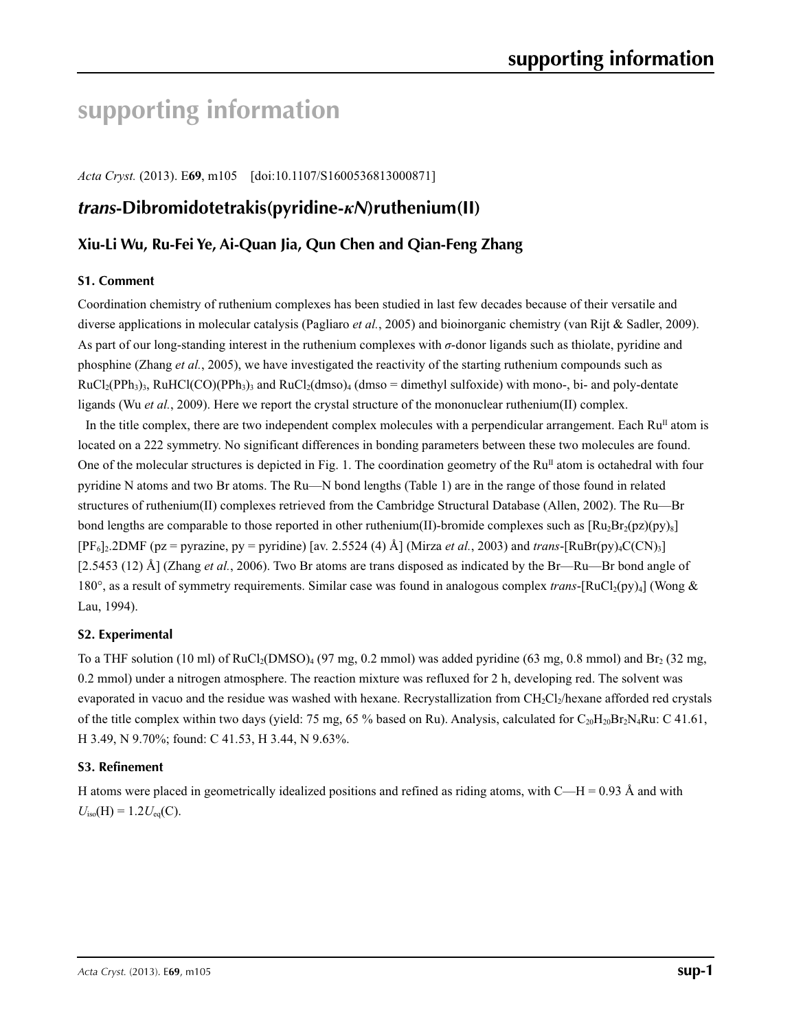# **supporting information**

*Acta Cryst.* (2013). E**69**, m105 [doi:10.1107/S1600536813000871]

# *trans***-Dibromidotetrakis(pyridine-***κN***)ruthenium(II)**

# **Xiu-Li Wu, Ru-Fei Ye, Ai-Quan Jia, Qun Chen and Qian-Feng Zhang**

### **S1. Comment**

Coordination chemistry of ruthenium complexes has been studied in last few decades because of their versatile and diverse applications in molecular catalysis (Pagliaro *et al.*, 2005) and bioinorganic chemistry (van Rijt & Sadler, 2009). As part of our long-standing interest in the ruthenium complexes with *σ*-donor ligands such as thiolate, pyridine and phosphine (Zhang *et al.*, 2005), we have investigated the reactivity of the starting ruthenium compounds such as  $RuCl<sub>2</sub>(PPh<sub>3</sub>)<sub>3</sub>$ , RuHCl(CO)(PPh<sub>3</sub>)<sub>3</sub> and RuCl<sub>2</sub>(dmso)<sub>4</sub> (dmso = dimethyl sulfoxide) with mono-, bi- and poly-dentate ligands (Wu *et al.*, 2009). Here we report the crystal structure of the mononuclear ruthenium(II) complex.

In the title complex, there are two independent complex molecules with a perpendicular arrangement. Each  $Ru<sup>II</sup>$  atom is located on a 222 symmetry. No significant differences in bonding parameters between these two molecules are found. One of the molecular structures is depicted in Fig. 1. The coordination geometry of the  $Ru<sup>II</sup>$  atom is octahedral with four pyridine N atoms and two Br atoms. The Ru—N bond lengths (Table 1) are in the range of those found in related structures of ruthenium(II) complexes retrieved from the Cambridge Structural Database (Allen, 2002). The Ru—Br bond lengths are comparable to those reported in other ruthenium(II)-bromide complexes such as  $[Ru_2Br_2(pz)(py)_8]$  $[PF_6]_2.2DMF$  (pz = pyrazine, py = pyridine) [av. 2.5524 (4) Å] (Mirza *et al.*, 2003) and *trans*-[RuBr(py)<sub>4</sub>C(CN)<sub>3</sub>] [2.5453 (12) Å] (Zhang *et al.*, 2006). Two Br atoms are trans disposed as indicated by the Br—Ru—Br bond angle of 180°, as a result of symmetry requirements. Similar case was found in analogous complex *trans*-[RuCl<sub>2</sub>(py)<sub>4</sub>] (Wong & Lau, 1994).

### **S2. Experimental**

To a THF solution (10 ml) of RuCl<sub>2</sub>(DMSO)<sub>4</sub> (97 mg, 0.2 mmol) was added pyridine (63 mg, 0.8 mmol) and Br<sub>2</sub> (32 mg, 0.2 mmol) under a nitrogen atmosphere. The reaction mixture was refluxed for 2 h, developing red. The solvent was evaporated in vacuo and the residue was washed with hexane. Recrystallization from  $CH_2Cl_2$ /hexane afforded red crystals of the title complex within two days (yield: 75 mg, 65 % based on Ru). Analysis, calculated for  $C_{20}H_{20}Br_2N_4Ru$ : C 41.61, H 3.49, N 9.70%; found: C 41.53, H 3.44, N 9.63%.

### **S3. Refinement**

H atoms were placed in geometrically idealized positions and refined as riding atoms, with  $C-H = 0.93 \text{ Å}$  and with  $U_{\text{iso}}(H) = 1.2 U_{\text{eq}}(C)$ .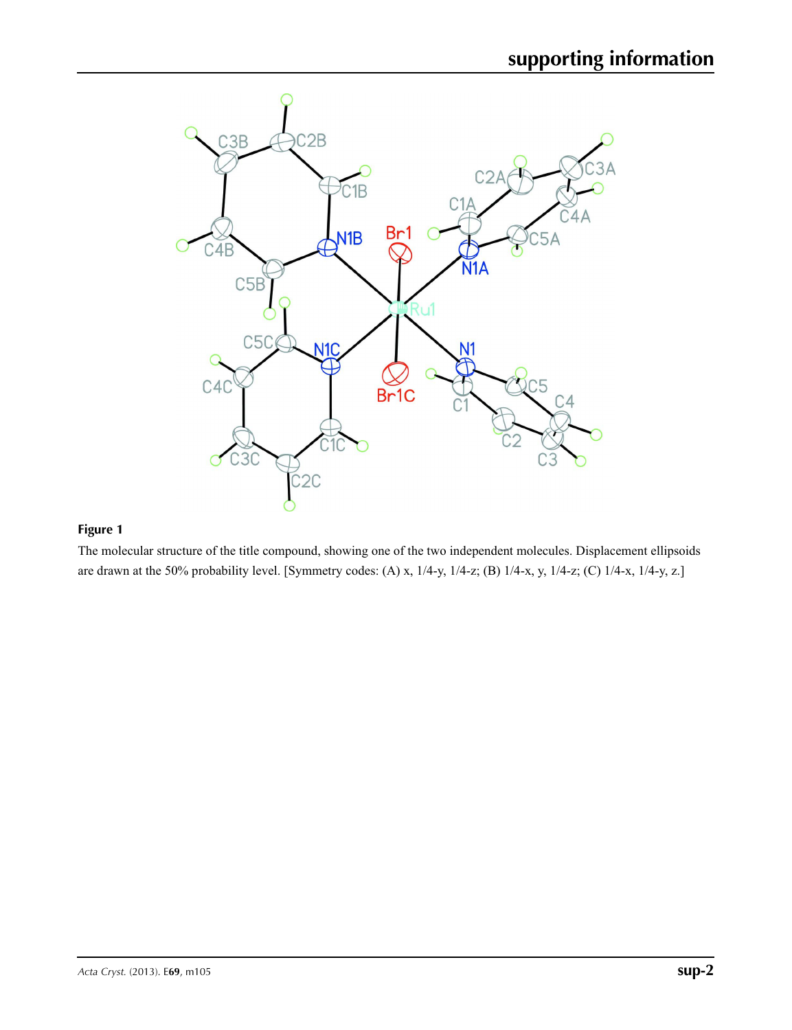

## **Figure 1**

The molecular structure of the title compound, showing one of the two independent molecules. Displacement ellipsoids are drawn at the 50% probability level. [Symmetry codes: (A) x, 1/4-y, 1/4-z; (B) 1/4-x, y, 1/4-z; (C) 1/4-x, 1/4-y, z.]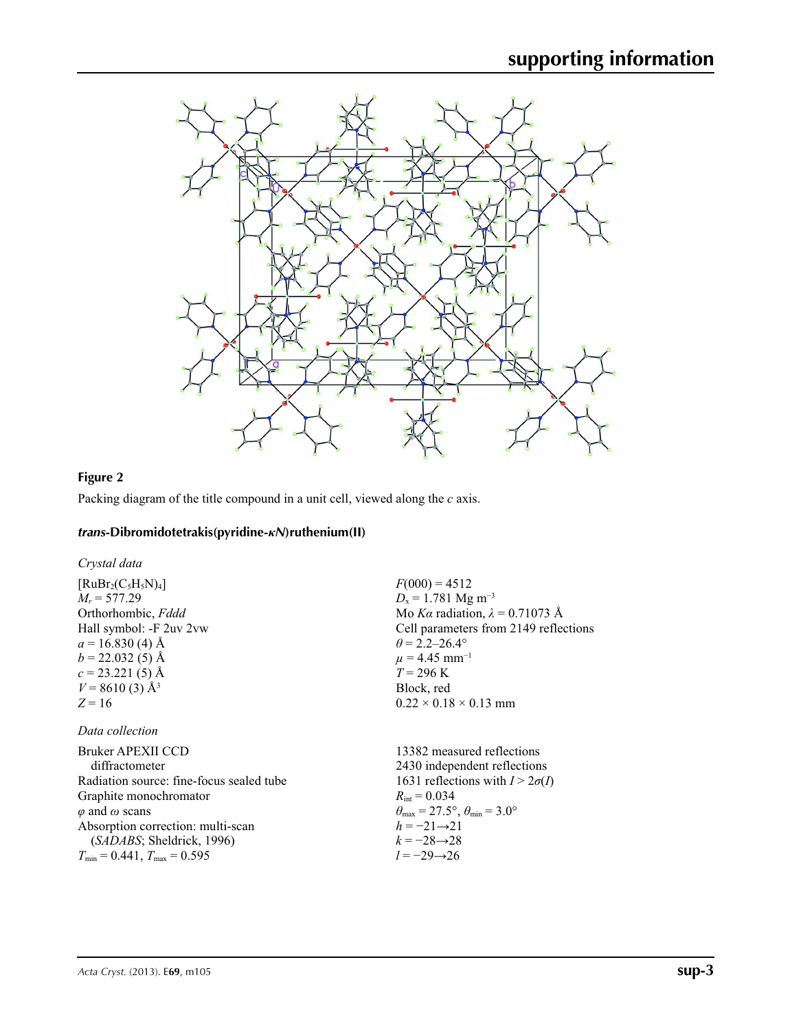

### **Figure 2**

Packing diagram of the title compound in a unit cell, viewed along the *c* axis.

#### *trans***-Dibromidotetrakis(pyridine-***κN***)ruthenium(II)**

*Crystal data*

 $[RuBr_2(C_5H_5N)_4]$  $M_r = 577.29$ Orthorhombic, *Fddd* Hall symbol: -F 2uv 2vw  $a = 16.830(4)$  Å  $b = 22.032(5)$  Å  $c = 23.221(5)$  Å  $V = 8610(3)$  Å<sup>3</sup>  $Z = 16$ 

#### *Data collection*

| Bruker APEXII CCD                        | 13382 mea                         |
|------------------------------------------|-----------------------------------|
| diffractometer                           | $2430$ indep                      |
| Radiation source: fine-focus sealed tube | 1631 reflec                       |
| Graphite monochromator                   | $R_{\text{int}} = 0.034$          |
| $\varphi$ and $\omega$ scans             | $\theta_{\rm max} = 27.5^{\circ}$ |
| Absorption correction: multi-scan        | $h = -21 \rightarrow 2$           |
| (SADABS; Sheldrick, 1996)                | $k = -28 \rightarrow 2$           |
| $T_{\min} = 0.441$ , $T_{\max} = 0.595$  | $l = -29 \rightarrow 20$          |

 $F(000) = 4512$ *D*<sub>x</sub> = 1.781 Mg m<sup>-3</sup> Mo *Kα* radiation, *λ* = 0.71073 Å Cell parameters from 2149 reflections  $\theta = 2.2 - 26.4^{\circ}$  $\mu$  = 4.45 mm<sup>-1</sup>  $T = 296$  K Block, red  $0.22 \times 0.18 \times 0.13$  mm

sured reflections endent reflections tions with  $I > 2\sigma(I)$  $\degree$ ,  $\theta_{\min} = 3.0^{\circ}$ *h* = −21→21 *k* = −28→28  $\frac{1}{6}$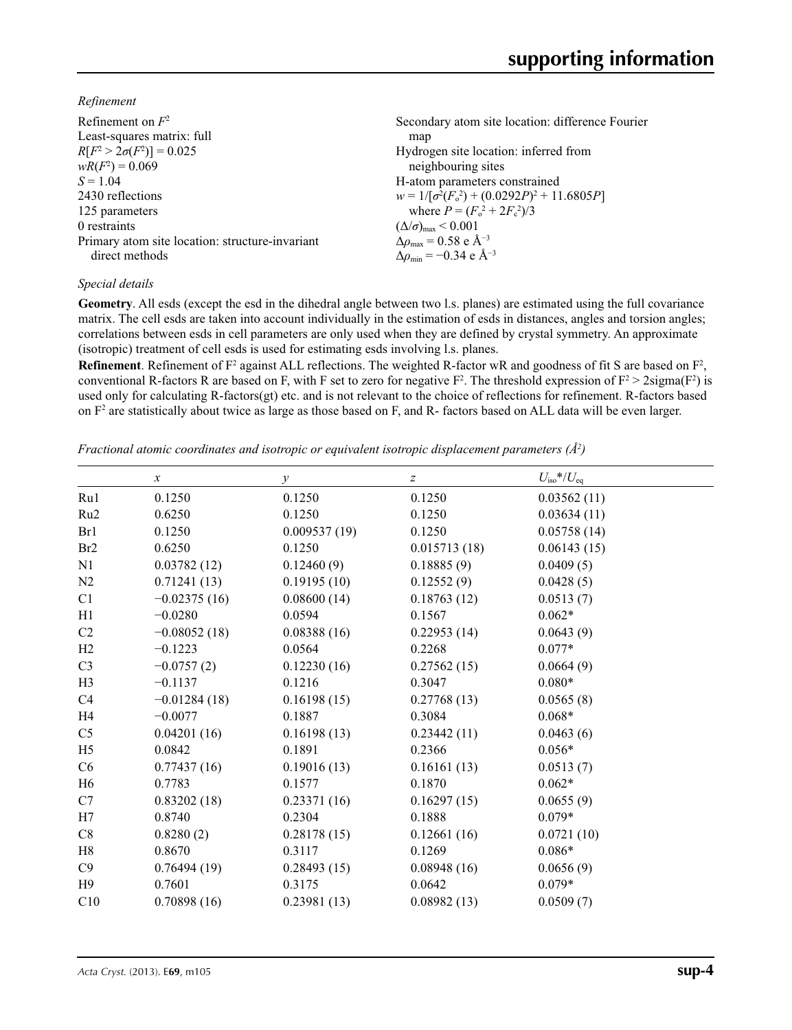*Refinement*

| Refinement on $F^2$                             | Secondary atom site location: difference Fourier          |
|-------------------------------------------------|-----------------------------------------------------------|
| Least-squares matrix: full                      | map                                                       |
| $R[F^2 > 2\sigma(F^2)] = 0.025$                 | Hydrogen site location: inferred from                     |
| $wR(F^2) = 0.069$                               | neighbouring sites                                        |
| $S = 1.04$                                      | H-atom parameters constrained                             |
| 2430 reflections                                | $w = 1/[\sigma^2(F_0^2) + (0.0292P)^2 + 11.6805P]$        |
| 125 parameters                                  | where $P = (F_o^2 + 2F_c^2)/3$                            |
| 0 restraints                                    | $(\Delta/\sigma)_{\text{max}}$ < 0.001                    |
| Primary atom site location: structure-invariant | $\Delta\rho_{\text{max}} = 0.58 \text{ e A}^{-3}$         |
| direct methods                                  | $\Delta\rho_{\rm min} = -0.34 \text{ e } \text{\AA}^{-3}$ |
|                                                 |                                                           |

#### *Special details*

**Geometry**. All esds (except the esd in the dihedral angle between two l.s. planes) are estimated using the full covariance matrix. The cell esds are taken into account individually in the estimation of esds in distances, angles and torsion angles; correlations between esds in cell parameters are only used when they are defined by crystal symmetry. An approximate (isotropic) treatment of cell esds is used for estimating esds involving l.s. planes.

**Refinement**. Refinement of  $F^2$  against ALL reflections. The weighted R-factor wR and goodness of fit S are based on  $F^2$ , conventional R-factors R are based on F, with F set to zero for negative  $F^2$ . The threshold expression of  $F^2 > 2 \text{sigma}(F^2)$  is used only for calculating R-factors(gt) etc. and is not relevant to the choice of reflections for refinement. R-factors based on  $F<sup>2</sup>$  are statistically about twice as large as those based on F, and R- factors based on ALL data will be even larger.

*Fractional atomic coordinates and isotropic or equivalent isotropic displacement parameters (Å2 )*

|                 | $\mathcal{X}$  | $\mathcal{Y}$ | z            | $U_{\rm iso}*/U_{\rm eq}$ |  |
|-----------------|----------------|---------------|--------------|---------------------------|--|
| Ru1             | 0.1250         | 0.1250        | 0.1250       | 0.03562(11)               |  |
| Ru <sub>2</sub> | 0.6250         | 0.1250        | 0.1250       | 0.03634(11)               |  |
| Br1             | 0.1250         | 0.009537(19)  | 0.1250       | 0.05758(14)               |  |
| Br <sub>2</sub> | 0.6250         | 0.1250        | 0.015713(18) | 0.06143(15)               |  |
| N1              | 0.03782(12)    | 0.12460(9)    | 0.18885(9)   | 0.0409(5)                 |  |
| N2              | 0.71241(13)    | 0.19195(10)   | 0.12552(9)   | 0.0428(5)                 |  |
| C1              | $-0.02375(16)$ | 0.08600(14)   | 0.18763(12)  | 0.0513(7)                 |  |
| H1              | $-0.0280$      | 0.0594        | 0.1567       | $0.062*$                  |  |
| C <sub>2</sub>  | $-0.08052(18)$ | 0.08388(16)   | 0.22953(14)  | 0.0643(9)                 |  |
| H2              | $-0.1223$      | 0.0564        | 0.2268       | $0.077*$                  |  |
| C <sub>3</sub>  | $-0.0757(2)$   | 0.12230(16)   | 0.27562(15)  | 0.0664(9)                 |  |
| H <sub>3</sub>  | $-0.1137$      | 0.1216        | 0.3047       | $0.080*$                  |  |
| C4              | $-0.01284(18)$ | 0.16198(15)   | 0.27768(13)  | 0.0565(8)                 |  |
| H <sub>4</sub>  | $-0.0077$      | 0.1887        | 0.3084       | $0.068*$                  |  |
| C <sub>5</sub>  | 0.04201(16)    | 0.16198(13)   | 0.23442(11)  | 0.0463(6)                 |  |
| H <sub>5</sub>  | 0.0842         | 0.1891        | 0.2366       | $0.056*$                  |  |
| C6              | 0.77437(16)    | 0.19016(13)   | 0.16161(13)  | 0.0513(7)                 |  |
| H <sub>6</sub>  | 0.7783         | 0.1577        | 0.1870       | $0.062*$                  |  |
| C7              | 0.83202(18)    | 0.23371(16)   | 0.16297(15)  | 0.0655(9)                 |  |
| H7              | 0.8740         | 0.2304        | 0.1888       | $0.079*$                  |  |
| C8              | 0.8280(2)      | 0.28178(15)   | 0.12661(16)  | 0.0721(10)                |  |
| H8              | 0.8670         | 0.3117        | 0.1269       | $0.086*$                  |  |
| C9              | 0.76494(19)    | 0.28493(15)   | 0.08948(16)  | 0.0656(9)                 |  |
| H9              | 0.7601         | 0.3175        | 0.0642       | $0.079*$                  |  |
| C10             | 0.70898(16)    | 0.23981(13)   | 0.08982(13)  | 0.0509(7)                 |  |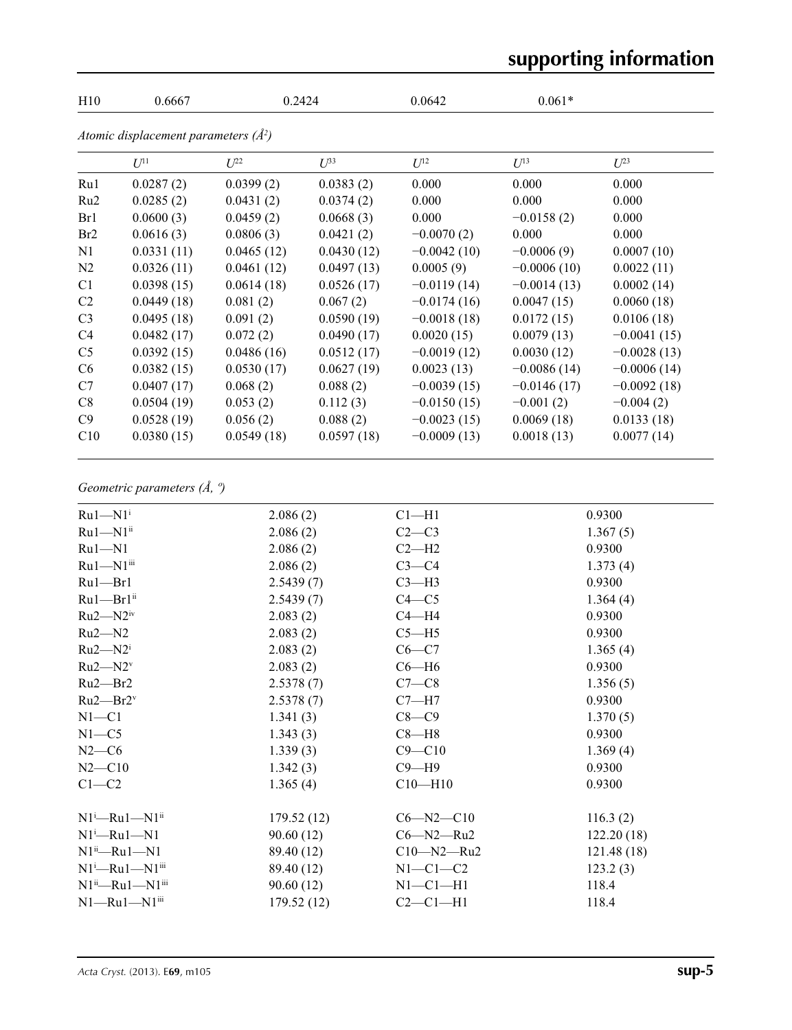# **supporting information**

| H10            | 0.6667                                 | 0.2424     |                         | 0.0642        | $0.061*$      |               |  |
|----------------|----------------------------------------|------------|-------------------------|---------------|---------------|---------------|--|
|                | Atomic displacement parameters $(A^2)$ |            |                         |               |               |               |  |
|                | $U^{11}$                               | $U^{22}$   | $\mathcal{L}^{\beta 3}$ | $U^{12}$      | $U^{13}$      | $U^{23}$      |  |
| Ru1            | 0.0287(2)                              | 0.0399(2)  | 0.0383(2)               | 0.000         | 0.000         | 0.000         |  |
| Ru2            | 0.0285(2)                              | 0.0431(2)  | 0.0374(2)               | 0.000         | 0.000         | 0.000         |  |
| Br1            | 0.0600(3)                              | 0.0459(2)  | 0.0668(3)               | 0.000         | $-0.0158(2)$  | 0.000         |  |
| Br2            | 0.0616(3)                              | 0.0806(3)  | 0.0421(2)               | $-0.0070(2)$  | 0.000         | 0.000         |  |
| N1             | 0.0331(11)                             | 0.0465(12) | 0.0430(12)              | $-0.0042(10)$ | $-0.0006(9)$  | 0.0007(10)    |  |
| N2             | 0.0326(11)                             | 0.0461(12) | 0.0497(13)              | 0.0005(9)     | $-0.0006(10)$ | 0.0022(11)    |  |
| C <sub>1</sub> | 0.0398(15)                             | 0.0614(18) | 0.0526(17)              | $-0.0119(14)$ | $-0.0014(13)$ | 0.0002(14)    |  |
| C2             | 0.0449(18)                             | 0.081(2)   | 0.067(2)                | $-0.0174(16)$ | 0.0047(15)    | 0.0060(18)    |  |
| C <sub>3</sub> | 0.0495(18)                             | 0.091(2)   | 0.0590(19)              | $-0.0018(18)$ | 0.0172(15)    | 0.0106(18)    |  |
| C4             | 0.0482(17)                             | 0.072(2)   | 0.0490(17)              | 0.0020(15)    | 0.0079(13)    | $-0.0041(15)$ |  |
| C <sub>5</sub> | 0.0392(15)                             | 0.0486(16) | 0.0512(17)              | $-0.0019(12)$ | 0.0030(12)    | $-0.0028(13)$ |  |
| C <sub>6</sub> | 0.0382(15)                             | 0.0530(17) | 0.0627(19)              | 0.0023(13)    | $-0.0086(14)$ | $-0.0006(14)$ |  |
| C7             | 0.0407(17)                             | 0.068(2)   | 0.088(2)                | $-0.0039(15)$ | $-0.0146(17)$ | $-0.0092(18)$ |  |
| C8             | 0.0504(19)                             | 0.053(2)   | 0.112(3)                | $-0.0150(15)$ | $-0.001(2)$   | $-0.004(2)$   |  |
| C9             | 0.0528(19)                             | 0.056(2)   | 0.088(2)                | $-0.0023(15)$ | 0.0069(18)    | 0.0133(18)    |  |
| C10            | 0.0380(15)                             | 0.0549(18) | 0.0597(18)              | $-0.0009(13)$ | 0.0018(13)    | 0.0077(14)    |  |

# *Geometric parameters (Å, º)*

| $Ru1-M1$ <sup>i</sup>                | 2.086(2)   | Cl <sub>–H1</sub> | 0.9300     |
|--------------------------------------|------------|-------------------|------------|
| $Ru1 - N1$ <sup>ii</sup>             | 2.086(2)   | $C2-C3$           | 1.367(5)   |
| $Ru1 - N1$                           | 2.086(2)   | $C2-H2$           | 0.9300     |
| Ru1-N1iii                            | 2.086(2)   | $C3-C4$           | 1.373(4)   |
| $Ru1$ — $Br1$                        | 2.5439(7)  | $C3-H3$           | 0.9300     |
| $Ru1$ — $Br1$ <sup>ii</sup>          | 2.5439(7)  | $C4 - C5$         | 1.364(4)   |
| $Ru2-M2iv$                           | 2.083(2)   | $C4 - H4$         | 0.9300     |
| $Ru2-M2$                             | 2.083(2)   | $C5 - H5$         | 0.9300     |
| $Ru2-M2i$                            | 2.083(2)   | $C6 - C7$         | 1.365(4)   |
| $Ru2-M2v$                            | 2.083(2)   | $C6 - H6$         | 0.9300     |
| $Ru2$ — $Br2$                        | 2.5378(7)  | $C7-C8$           | 1.356(5)   |
| $Ru2$ — $Br2$ <sup>v</sup>           | 2.5378(7)  | $C7 - H7$         | 0.9300     |
| $N1 - C1$                            | 1.341(3)   | $C8-C9$           | 1.370(5)   |
| $N1 - C5$                            | 1.343(3)   | $C8 - H8$         | 0.9300     |
| $N2-C6$                              | 1.339(3)   | $C9 - C10$        | 1.369(4)   |
| $N2 - C10$                           | 1.342(3)   | $C9 - H9$         | 0.9300     |
| $C1-C2$                              | 1.365(4)   | $C10 - H10$       | 0.9300     |
| $N1^i$ -Ru $1$ -N $1^i$              | 179.52(12) | $C6 - N2 - C10$   | 116.3(2)   |
| $N1^i$ —Ru $1$ —N $1$                | 90.60(12)  | $C6 - N2 - Ru2$   | 122.20(18) |
| $N1^{ii}$ -Ru1-N1                    | 89.40 (12) | $C10 - N2 - Ru2$  | 121.48(18) |
| $N1^i$ -Ru $1$ -N $1$ <sup>iii</sup> | 89.40 (12) | $N1-C1-C2$        | 123.2(3)   |
| $N1^{ii}$ —Ru $1$ —N $1^{iii}$       | 90.60(12)  | $N1-C1-H1$        | 118.4      |
| $N1 - Ru1 - N1$ iii                  | 179.52(12) | $C2-C1-H1$        | 118.4      |